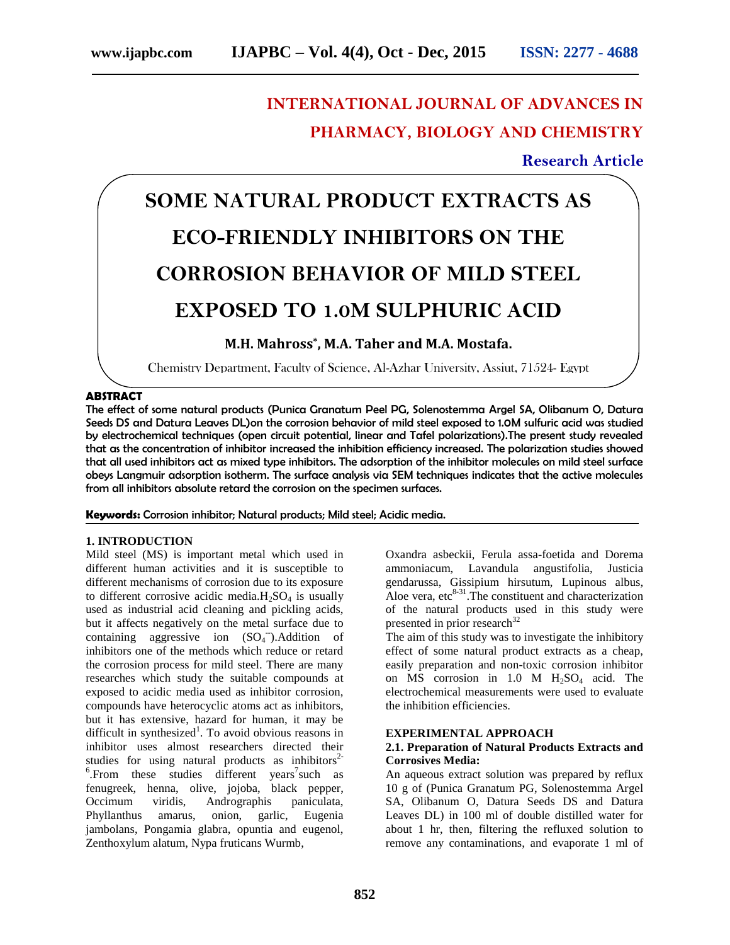# **INTERNATIONAL JOURNAL OF ADVANCES IN PHARMACY, BIOLOGY AND CHEMISTRY**

## **Research Article**

# **SOME NATURAL PRODUCT EXTRACTS AS ECO-FRIENDLY INHIBITORS ON THE CORROSION BEHAVIOR OF MILD STEEL EXPOSED TO 1.0M SULPHURIC ACID**

## **M.H. Mahross\* , M.A. Taher and M.A. Mostafa.**

Chemistry Department, Faculty of Science, Al-Azhar University, Assiut, 71524- Egypt

#### **ABSTRACT**

The effect of some natural products (Punica Granatum Peel PG, Solenostemma Argel SA, Olibanum O, Datura Seeds DS and Datura Leaves DL)on the corrosion behavior of mild steel exposed to 1.0M sulfuric acid was studied by electrochemical techniques (open circuit potential, linear and Tafel polarizations).The present study revealed that as the concentration of inhibitor increased the inhibition efficiency increased. The polarization studies showed that all used inhibitors act as mixed type inhibitors. The adsorption of the inhibitor molecules on mild steel surface obeys Langmuir adsorption isotherm. The surface analysis via SEM techniques indicates that the active molecules from all inhibitors absolute retard the corrosion on the specimen surfaces.

**Keywords:** Corrosion inhibitor; Natural products; Mild steel; Acidic media.

#### **1. INTRODUCTION**

Mild steel (MS) is important metal which used in different human activities and it is susceptible to different mechanisms of corrosion due to its exposure to different corrosive acidic media. $H_2SO_4$  is usually used as industrial acid cleaning and pickling acids, but it affects negatively on the metal surface due to containing aggressive ion  $(SO<sub>4</sub>^-)$ . Addition of inhibitors one of the methods which reduce or retard the corrosion process for mild steel. There are many researches which study the suitable compounds at exposed to acidic media used as inhibitor corrosion, compounds have heterocyclic atoms act as inhibitors, but it has extensive, hazard for human, it may be difficult in synthesized<sup>1</sup>. To avoid obvious reasons in inhibitor uses almost researchers directed their studies for using natural products as inhibitors<sup>2-</sup> .From these studies different years<sup>7</sup>such as fenugreek, henna, olive, jojoba, black pepper, Occimum viridis, Andrographis paniculata, Phyllanthus amarus, onion, garlic, Eugenia jambolans, Pongamia glabra, opuntia and eugenol, Zenthoxylum alatum, Nypa fruticans Wurmb,

Oxandra asbeckii, Ferula assa-foetida and Dorema ammoniacum, Lavandula angustifolia, Justicia gendarussa, Gissipium hirsutum, Lupinous albus, Aloe vera, etc<sup>8-31</sup>. The constituent and characterization of the natural products used in this study were presented in prior research<sup>32</sup>

The aim of this study was to investigate the inhibitory effect of some natural product extracts as a cheap, easily preparation and non-toxic corrosion inhibitor on MS corrosion in 1.0 M  $H_2SO_4$  acid. The electrochemical measurements were used to evaluate the inhibition efficiencies.

#### **EXPERIMENTAL APPROACH**

#### **2.1. Preparation of Natural Products Extracts and Corrosives Media:**

An aqueous extract solution was prepared by reflux 10 g of (Punica Granatum PG, Solenostemma Argel SA, Olibanum O, Datura Seeds DS and Datura Leaves DL) in 100 ml of double distilled water for about 1 hr, then, filtering the refluxed solution to remove any contaminations, and evaporate 1 ml of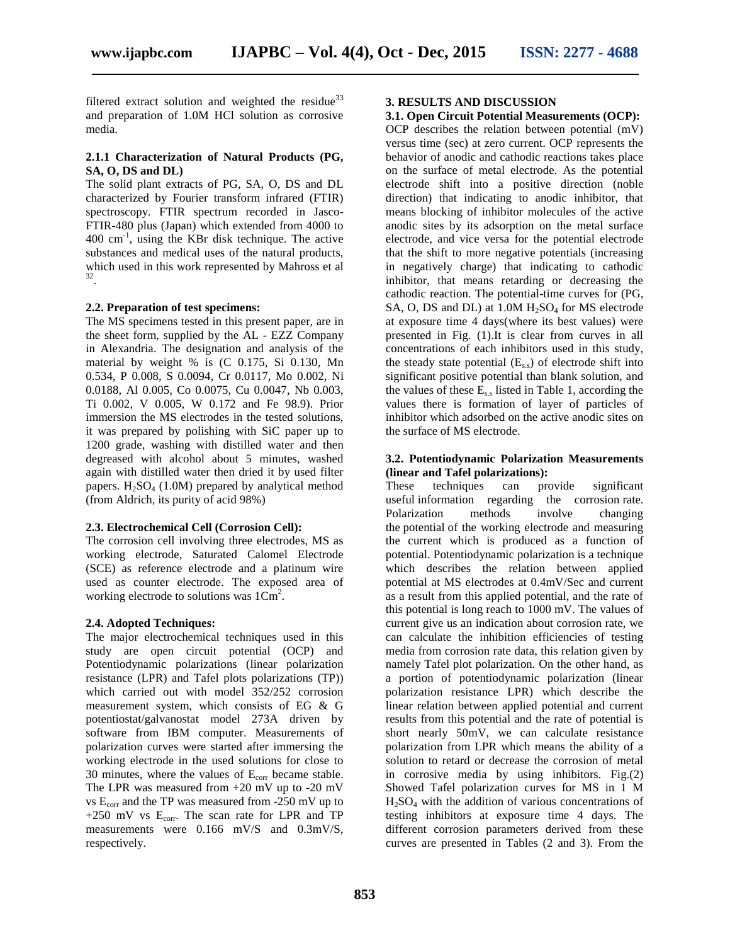filtered extract solution and weighted the residue<sup>33</sup> and preparation of 1.0M HCl solution as corrosive media.

#### **2.1.1 Characterization of Natural Products (PG, SA, O, DS and DL)**

The solid plant extracts of PG, SA, O, DS and DL characterized by Fourier transform infrared (FTIR) spectroscopy. FTIR spectrum recorded in Jasco- FTIR-480 plus (Japan) which extended from 4000 to  $400 \text{ cm}^{-1}$ , using the KBr disk technique. The active substances and medical uses of the natural products, which used in this work represented by Mahross et al .

#### **2.2. Preparation of test specimens:**

The MS specimens tested in this present paper, are in the sheet form, supplied by the AL - EZZ Company in Alexandria. The designation and analysis of the material by weight % is (C 0.175, Si 0.130, Mn 0.534, P 0.008, S 0.0094, Cr 0.0117, Mo 0.002, Ni 0.0188, Al 0.005, Co 0.0075, Cu 0.0047, Nb 0.003, Ti 0.002, V 0.005, W 0.172 and Fe 98.9). Prior immersion the MS electrodes in the tested solutions, it was prepared by polishing with SiC paper up to 1200 grade, washing with distilled water and then degreased with alcohol about 5 minutes, washed again with distilled water then dried it by used filter papers.  $H_2SO_4$  (1.0M) prepared by analytical method These (from Aldrich, its purity of acid 98%)

#### **2.3. Electrochemical Cell (Corrosion Cell):**

The corrosion cell involving three electrodes, MS as working electrode, Saturated Calomel Electrode (SCE) as reference electrode and a platinum wire used as counter electrode. The exposed area of working electrode to solutions was  $1\overline{\text{Cm}}^2$ .

#### **2.4. Adopted Techniques:**

The major electrochemical techniques used in this study are open circuit potential (OCP) and Potentiodynamic polarizations (linear polarization resistance (LPR) and Tafel plots polarizations (TP)) which carried out with model 352/252 corrosion measurement system, which consists of EG & G potentiostat/galvanostat model 273A driven by software from IBM computer. Measurements of polarization curves were started after immersing the working electrode in the used solutions for close to 30 minutes, where the values of  $E_{\text{corr}}$  became stable. The LPR was measured from +20 mV up to -20 mV vs Ecorr and the TP was measured from -250 mV up to +250 mV vs  $E_{corr}$ . The scan rate for LPR and TP measurements were 0.166 mV/S and 0.3mV/S, respectively.

#### **3. RESULTS AND DISCUSSION**

#### **3.1. Open Circuit Potential Measurements (OCP):**

OCP describes the relation between potential (mV) versus time (sec) at zero current. OCP represents the behavior of anodic and cathodic reactions takes place on the surface of metal electrode. As the potential electrode shift into a positive direction (noble direction) that indicating to anodic inhibitor, that means blocking of inhibitor molecules of the active anodic sites by its adsorption on the metal surface electrode, and vice versa for the potential electrode that the shift to more negative potentials (increasing in negatively charge) that indicating to cathodic inhibitor, that means retarding or decreasing the cathodic reaction. The potential-time curves for (PG, SA, O, DS and DL) at  $1.0M H<sub>2</sub>SO<sub>4</sub>$  for MS electrode at exposure time 4 days(where its best values) were presented in Fig. (1).It is clear from curves in all concentrations of each inhibitors used in this study, the steady state potential  $(E_{s,s})$  of electrode shift into significant positive potential than blank solution, and the values of these  $E_s$ , listed in Table 1, according the values there is formation of layer of particles of inhibitor which adsorbed on the active anodic sites on the surface of MS electrode.

#### **3.2. Potentiodynamic Polarization Measurements (linear and Tafel polarizations):**

techniques can provide significant useful information regarding the corrosion rate. Polarization methods involve changing the potential of the working electrode and measuring the current which is produced as a function of potential. Potentiodynamic polarization is a technique which describes the relation between applied potential at MS electrodes at 0.4mV/Sec and current as a result from this applied potential, and the rate of this potential is long reach to 1000 mV. The values of current give us an indication about corrosion rate, we can calculate the inhibition efficiencies of testing media from corrosion rate data, this relation given by namely Tafel plot polarization. On the other hand, as a portion of potentiodynamic polarization (linear polarization resistance LPR) which describe the linear relation between applied potential and current results from this potential and the rate of potential is short nearly 50mV, we can calculate resistance polarization from LPR which means the ability of a solution to retard or decrease the corrosion of metal in corrosive media by using inhibitors. Fig.(2) Showed Tafel polarization curves for MS in 1 M H2SO<sup>4</sup> with the addition of various concentrations of testing inhibitors at exposure time 4 days. The different corrosion parameters derived from these curves are presented in Tables (2 and 3). From the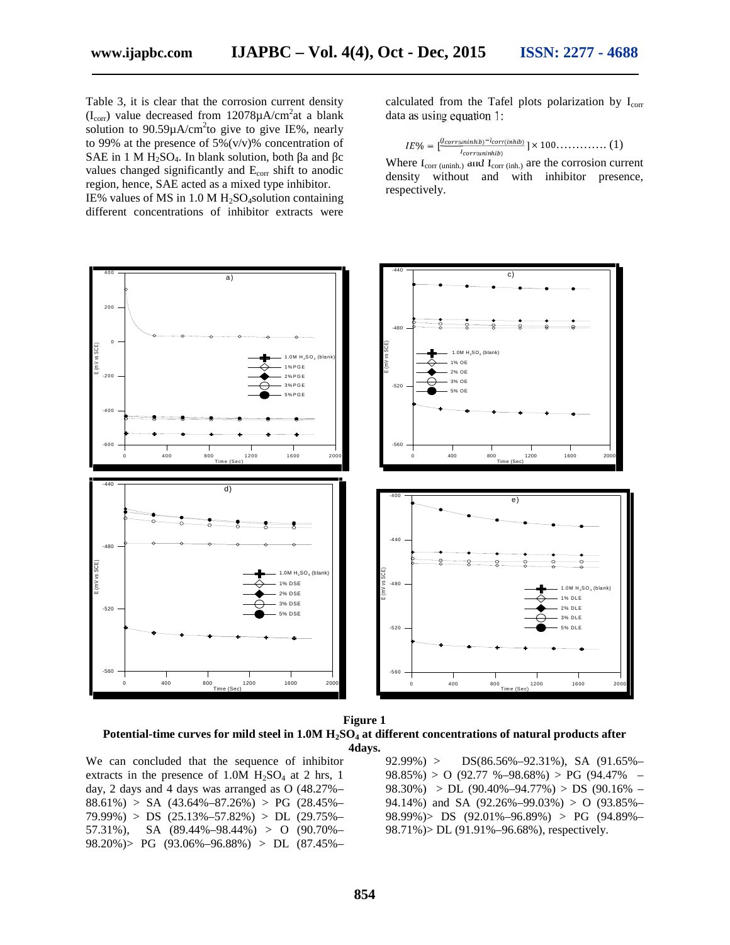Table 3, it is clear that the corrosion current density  $(I_{\text{corr}})$  value decreased from 12078 $\mu$ A/cm<sup>2</sup>at a blank solution to  $90.59 \mu A/cm^2$ to give to give IE%, nearly to 99% at the presence of  $5\%$  (v/v)% concentration of SAE in 1 M H<sub>2</sub>SO<sub>4</sub>. In blank solution, both a and c values changed significantly and E<sub>corr</sub> shift to anodic region, hence, SAE acted as a mixed type inhibitor. IE% values of MS in  $1.0 M H<sub>2</sub>SO<sub>4</sub> solution containing$ different concentrations of inhibitor extracts were tion to 90.59 $\mu$ A/cm<sup>2</sup>to<br>9% at the presence of 5%<br> $\geq$  in 1 M H<sub>2</sub>SO<sub>4</sub>. In bland<br>les changed significantly<br>on, hence, SAE acted as<br>values of MS in 1.0 M<br>erent concentrations of

calculated from the Tafel plots polarization by  $I_{corr}$ data as using equation 1:

$$
IE\% = \left[\frac{u_{corruuninh/b} - u_{corr(inhib)}}{u_{corruininh/b}}\right] \times 100 \dots \dots \dots \dots \tag{1}
$$

Where  $I_{\text{corr (uninh.)}}$  and  $I_{\text{corr (inh.)}}$  are the corrosion current density without and with inhibitor presence, respectively.





We can concluded that the sequence of inhibitor extracts in the presence of 1.0M  $H<sub>2</sub>SO<sub>4</sub>$  at 2 hrs, 1 day, 2 days and 4 days was arranged as O (48.27%–  $88.61\% > SA$  (43.64%–87.26%) > PG (28.45%–  $79.99\%)$  > DS  $(25.13\% - 57.82\%)$  > DL  $(29.75\% -$ 57.31%), SA (89.44%–98.44%) > O (90.70%– 98.20%)> PG (93.06%–96.88%) > DL (87.45%–  $92.99\%) > DS(86.56\% - 92.31\%)$ , SA  $(91.65\% 98.85\%$ ) > O (92.77 %–98.68%) > PG (94.47% –  $98.30\%$ ) > DL  $(90.40\% - 94.77\%)$  > DS  $(90.16\% -$ 94.14%) and SA  $(92.26\% - 99.03\%) > 0$   $(93.85\% -$ 98.99%)> DS (92.01%–96.89%) > PG (94.89%– 98.71%)> DL (91.91%–96.68%), respectively.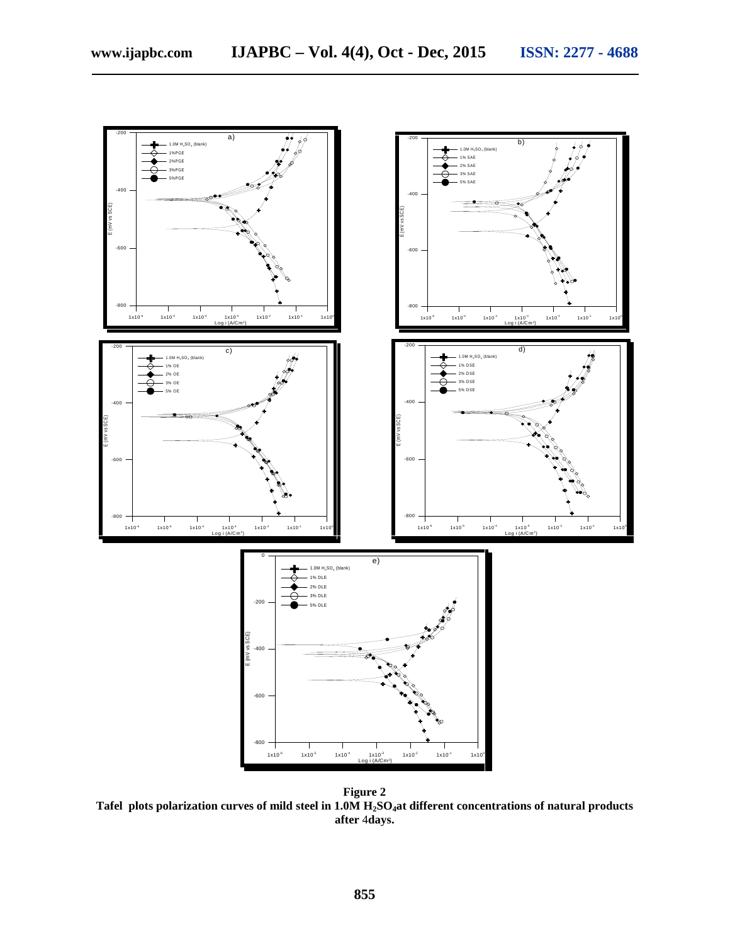

**Figure 2 Tafel plots polarization curves of mild steel in 1.0M H2SO4at different concentrations of natural products after** 4**days.**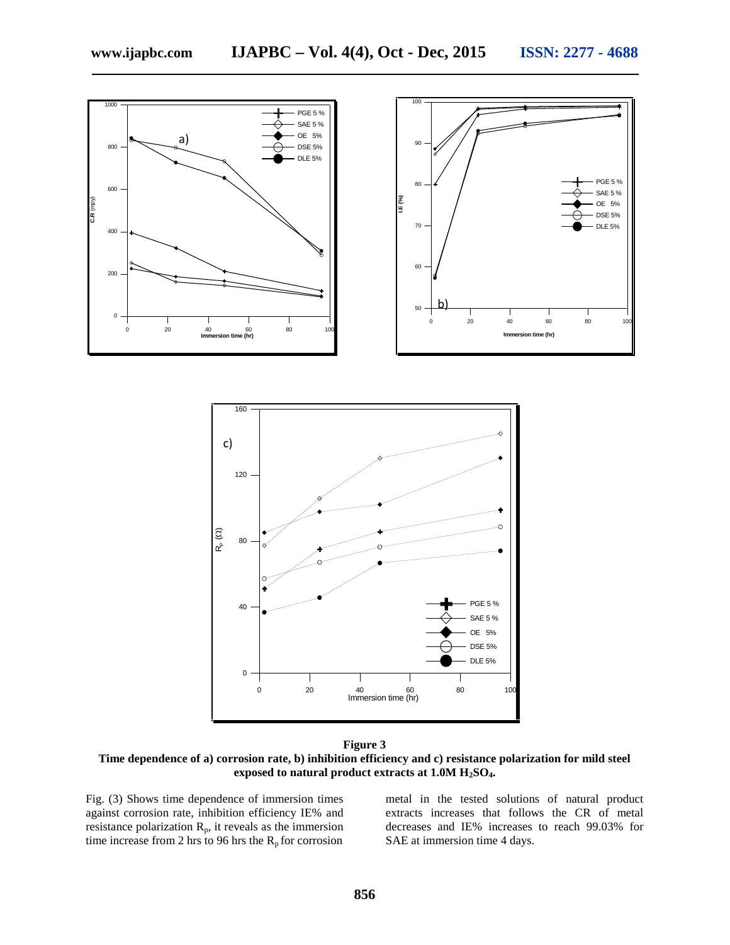

**Time dependence of a) corrosion rate, b) inhibition efficiency and c) resistance polarization for mild steel exposed to natural product extracts at 1.0M H2SO4.**

Fig. (3) Shows time dependence of immersion times against corrosion rate, inhibition efficiency IE% and resistance polarization  $R_p$ , it reveals as the immersion time increase from 2 hrs to 96 hrs the  $R_p$  for corrosion

metal in the tested solutions of natural product extracts increases that follows the CR of metal decreases and IE% increases to reach 99.03% for SAE at immersion time 4 days.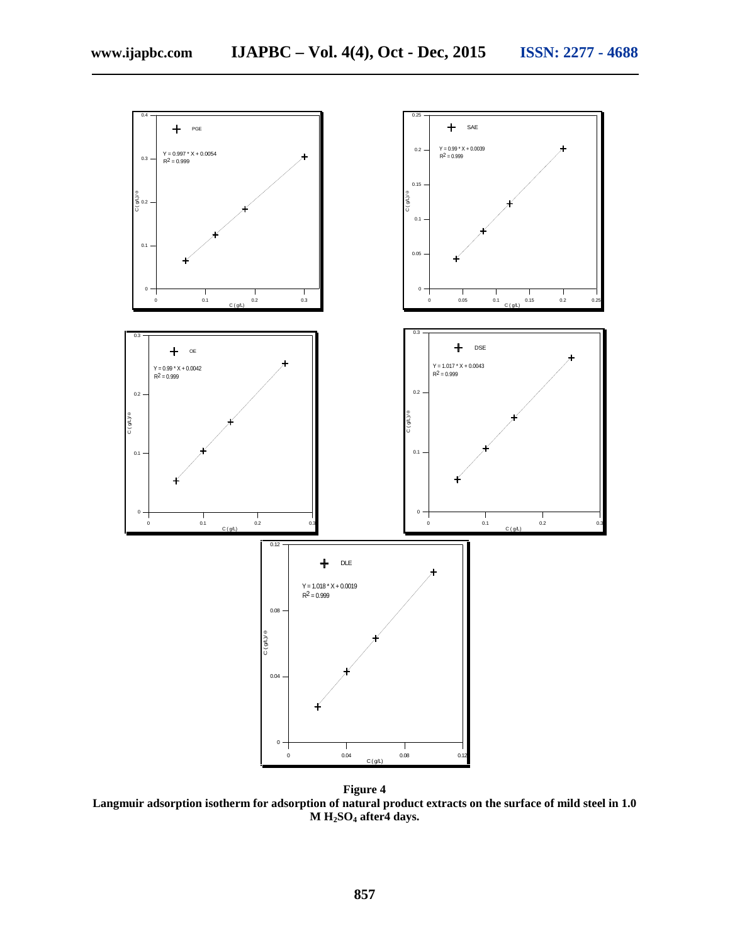

**Figure 4 Langmuir adsorption isotherm for adsorption of natural product extracts on the surface of mild steel in 1.0 M H2SO<sup>4</sup> after4 days.**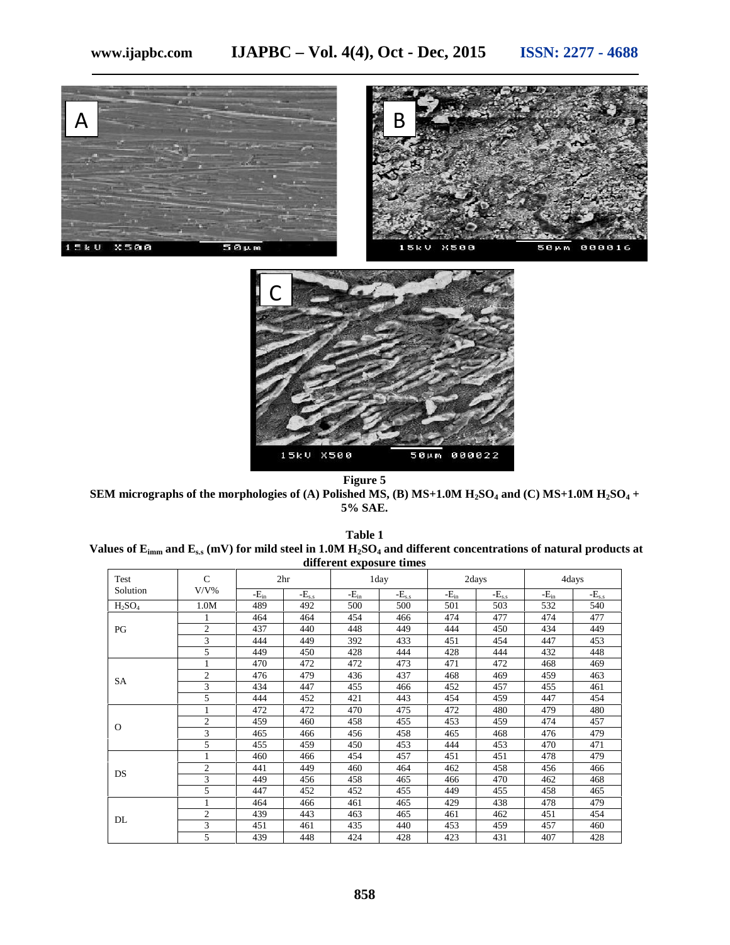



**Figure 5 SEM micrographs of the morphologies of (A) Polished MS, (B) MS+1.0M H2SO<sup>4</sup> and (C) MS+1.0M H2SO<sup>4</sup> + 5% SAE.**

| Table 1                                                                                                                           |
|-----------------------------------------------------------------------------------------------------------------------------------|
| Values of $E_{\text{imm}}$ and $E_{ss}$ (mV) for mild steel in 1.0M $H_2SO_4$ and different concentrations of natural products at |
| different exposure times                                                                                                          |

| Test        | $\mathcal{C}$<br>$V/V\%$ | 2 <sup>hr</sup> |            | 1day      |            | 2days     |            | 4days     |            |
|-------------|--------------------------|-----------------|------------|-----------|------------|-----------|------------|-----------|------------|
| Solution    |                          | $-E_{in}$       | $-E_{s.s}$ | $-E_{in}$ | $-E_{s.s}$ | $-E_{in}$ | $-E_{s.s}$ | $-E_{in}$ | $-E_{s.s}$ |
| $H_2SO_4$   | 1.0M                     | 489             | 492        | 500       | 500        | 501       | 503        | 532       | 540        |
| PG          |                          | 464             | 464        | 454       | 466        | 474       | 477        | 474       | 477        |
|             | $\overline{2}$           | 437             | 440        | 448       | 449        | 444       | 450        | 434       | 449        |
|             | 3                        | 444             | 449        | 392       | 433        | 451       | 454        | 447       | 453        |
|             | 5                        | 449             | 450        | 428       | 444        | 428       | 444        | 432       | 448        |
|             | 1                        | 470             | 472        | 472       | 473        | 471       | 472        | 468       | 469        |
| SA          | $\overline{2}$           | 476             | 479        | 436       | 437        | 468       | 469        | 459       | 463        |
|             | 3                        | 434             | 447        | 455       | 466        | 452       | 457        | 455       | 461        |
|             | 5                        | 444             | 452        | 421       | 443        | 454       | 459        | 447       | 454        |
|             |                          | 472             | 472        | 470       | 475        | 472       | 480        | 479       | 480        |
|             | $\overline{c}$           | 459             | 460        | 458       | 455        | 453       | 459        | 474       | 457        |
| $\mathbf 0$ | 3                        | 465             | 466        | 456       | 458        | 465       | 468        | 476       | 479        |
|             | 5                        | 455             | 459        | 450       | 453        | 444       | 453        | 470       | 471        |
|             |                          | 460             | 466        | 454       | 457        | 451       | 451        | 478       | 479        |
| DS          | $\overline{c}$           | 441             | 449        | 460       | 464        | 462       | 458        | 456       | 466        |
|             | 3                        | 449             | 456        | 458       | 465        | 466       | 470        | 462       | 468        |
|             | 5                        | 447             | 452        | 452       | 455        | 449       | 455        | 458       | 465        |
| DL          |                          | 464             | 466        | 461       | 465        | 429       | 438        | 478       | 479        |
|             | $\overline{c}$           | 439             | 443        | 463       | 465        | 461       | 462        | 451       | 454        |
|             | 3                        | 451             | 461        | 435       | 440        | 453       | 459        | 457       | 460        |
|             | 5                        | 439             | 448        | 424       | 428        | 423       | 431        | 407       | 428        |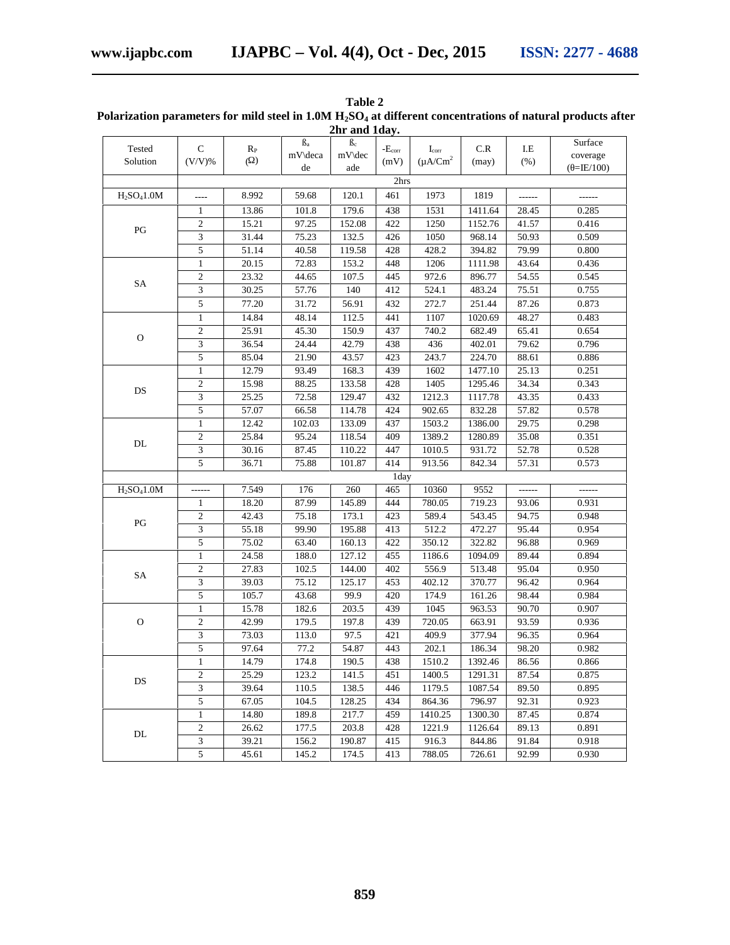|                                     |                             |         |           | 2hr and 1day.   |                 |                |                                         |           |                    |
|-------------------------------------|-----------------------------|---------|-----------|-----------------|-----------------|----------------|-----------------------------------------|-----------|--------------------|
| Tested                              | ${\bf C}$                   | $R_{P}$ | $\beta_a$ | $\beta_{\rm c}$ | $-E_{\rm corr}$ | $I_{\rm corr}$ | $\ensuremath{\mathsf{C}}\xspace$ .<br>R | $\rm L E$ | Surface            |
| Solution                            | $(V/V)$ %                   | ( )     | mV\deca   | mV\dec          | (mV)            | $(\mu A/Cm^2)$ | (may)                                   | (% )      | coverage           |
|                                     |                             |         | de        | ade             | 2hrs            |                |                                         |           | $(=\text{IE}/100)$ |
|                                     |                             | 8.992   |           | 120.1           | 461             | 1973           | 1819                                    |           |                    |
| H <sub>2</sub> SO <sub>4</sub> 1.0M | $---$                       |         | 59.68     |                 |                 |                |                                         | ------    | ------             |
|                                     | $\mathbf{1}$                | 13.86   | 101.8     | 179.6           | 438             | 1531           | 1411.64                                 | 28.45     | 0.285              |
| $\mathbf{P}\mathbf{G}$              | $\overline{c}$              | 15.21   | 97.25     | 152.08          | 422             | 1250           | 1152.76                                 | 41.57     | 0.416              |
|                                     | 3                           | 31.44   | 75.23     | 132.5           | 426             | 1050           | 968.14                                  | 50.93     | 0.509              |
|                                     | 5                           | 51.14   | 40.58     | 119.58          | 428             | 428.2          | 394.82                                  | 79.99     | 0.800              |
|                                     | $\mathbf{1}$                | 20.15   | 72.83     | 153.2           | 448             | 1206           | 1111.98                                 | 43.64     | 0.436              |
| SA                                  | $\mathfrak{2}$              | 23.32   | 44.65     | 107.5           | 445             | 972.6          | 896.77                                  | 54.55     | 0.545              |
|                                     | 3                           | 30.25   | 57.76     | 140             | 412             | 524.1          | 483.24                                  | 75.51     | 0.755              |
|                                     | $\sqrt{5}$                  | 77.20   | 31.72     | 56.91           | 432             | 272.7          | 251.44                                  | 87.26     | 0.873              |
|                                     | $\mathbf{1}$                | 14.84   | 48.14     | 112.5           | 441             | 1107           | 1020.69                                 | 48.27     | 0.483              |
| $\mathbf{O}$                        | $\mathbf{2}$                | 25.91   | 45.30     | 150.9           | 437             | 740.2          | 682.49                                  | 65.41     | 0.654              |
|                                     | $\mathfrak{Z}$              | 36.54   | 24.44     | 42.79           | 438             | 436            | 402.01                                  | 79.62     | 0.796              |
|                                     | 5                           | 85.04   | 21.90     | 43.57           | 423             | 243.7          | 224.70                                  | 88.61     | 0.886              |
|                                     | $\mathbf{1}$                | 12.79   | 93.49     | 168.3           | 439             | 1602           | 1477.10                                 | 25.13     | 0.251              |
| DS                                  | $\mathfrak{2}$              | 15.98   | 88.25     | 133.58          | 428             | 1405           | 1295.46                                 | 34.34     | 0.343              |
|                                     | $\ensuremath{\mathfrak{Z}}$ | 25.25   | 72.58     | 129.47          | 432             | 1212.3         | 1117.78                                 | 43.35     | 0.433              |
|                                     | 5                           | 57.07   | 66.58     | 114.78          | 424             | 902.65         | 832.28                                  | 57.82     | 0.578              |
|                                     | $\mathbf{1}$                | 12.42   | 102.03    | 133.09          | 437             | 1503.2         | 1386.00                                 | 29.75     | 0.298              |
| $\mathbf{DL}$                       | $\sqrt{2}$                  | 25.84   | 95.24     | 118.54          | 409             | 1389.2         | 1280.89                                 | 35.08     | 0.351              |
|                                     | $\mathfrak{Z}$              | 30.16   | 87.45     | 110.22          | 447             | 1010.5         | 931.72                                  | 52.78     | 0.528              |
|                                     | 5                           | 36.71   | 75.88     | 101.87          | 414             | 913.56         | 842.34                                  | 57.31     | 0.573              |
|                                     |                             |         |           |                 | 1day            |                |                                         |           |                    |
| H <sub>2</sub> SO <sub>4</sub> 1.0M | ------                      | 7.549   | 176       | 260             | 465             | 10360          | 9552                                    | ------    | ------             |
|                                     | $\mathbf{1}$                | 18.20   | 87.99     | 145.89          | 444             | 780.05         | 719.23                                  | 93.06     | 0.931              |
| $\mathbf{P}\mathbf{G}$              | $\overline{c}$              | 42.43   | 75.18     | 173.1           | 423             | 589.4          | 543.45                                  | 94.75     | 0.948              |
|                                     | $\mathfrak{Z}$              | 55.18   | 99.90     | 195.88          | 413             | 512.2          | 472.27                                  | 95.44     | 0.954              |
|                                     | $\sqrt{5}$                  | 75.02   | 63.40     | 160.13          | 422             | 350.12         | 322.82                                  | 96.88     | 0.969              |
|                                     | $\mathbf{1}$                | 24.58   | 188.0     | 127.12          | 455             | 1186.6         | 1094.09                                 | 89.44     | 0.894              |
| SA                                  | $\sqrt{2}$                  | 27.83   | 102.5     | 144.00          | 402             | 556.9          | 513.48                                  | 95.04     | 0.950              |
|                                     | 3                           | 39.03   | 75.12     | 125.17          | 453             | 402.12         | 370.77                                  | 96.42     | 0.964              |
|                                     | $\overline{5}$              | 105.7   | 43.68     | 99.9            | 420             | 174.9          | 161.26                                  | 98.44     | 0.984              |
|                                     | $\mathbf{1}$                | 15.78   | 182.6     | 203.5           | 439             | 1045           | 963.53                                  | 90.70     | 0.907              |
| ${\rm O}$                           | $\sqrt{2}$                  | 42.99   | 179.5     | 197.8           | 439             | 720.05         | 663.91                                  | 93.59     | 0.936              |
|                                     | 3                           | 73.03   | 113.0     | 97.5            | 421             | 409.9          | 377.94                                  | 96.35     | 0.964              |
|                                     | 5                           | 97.64   | 77.2      | 54.87           | 443             | 202.1          | 186.34                                  | 98.20     | 0.982              |
| DS                                  | 1                           | 14.79   | 174.8     | 190.5           | 438             | 1510.2         | 1392.46                                 | 86.56     | 0.866              |
|                                     | $\mathbf{2}$                | 25.29   | 123.2     | 141.5           | 451             | 1400.5         | 1291.31                                 | 87.54     | 0.875              |
|                                     | 3                           | 39.64   | 110.5     | 138.5           | 446             | 1179.5         | 1087.54                                 | 89.50     | 0.895              |
|                                     | $\overline{5}$              | 67.05   | 104.5     | 128.25          | 434             | 864.36         | 796.97                                  | 92.31     | 0.923              |
|                                     | $\mathbf{1}$                | 14.80   | 189.8     | 217.7           | 459             | 1410.25        | 1300.30                                 | 87.45     | 0.874              |
|                                     | $\sqrt{2}$                  | 26.62   | 177.5     | 203.8           | 428             | 1221.9         | 1126.64                                 | 89.13     | 0.891              |
| DL                                  | $\overline{\mathbf{3}}$     | 39.21   | 156.2     | 190.87          | 415             | 916.3          | 844.86                                  | 91.84     | 0.918              |
|                                     | $\overline{5}$              | 45.61   | 145.2     | 174.5           | 413             | 788.05         | 726.61                                  | 92.99     | 0.930              |

| Table 2                                                                                                        |
|----------------------------------------------------------------------------------------------------------------|
| Polarization parameters for mild steel in $1.0M H_2SO_4$ at different concentrations of natural products after |
| $2br$ and $1dev$                                                                                               |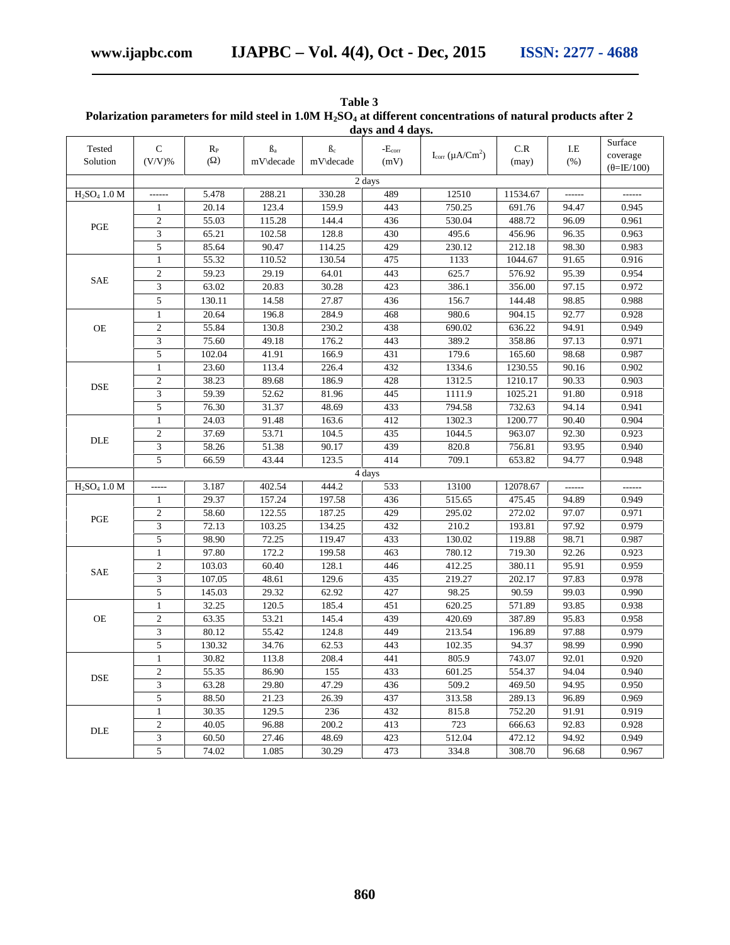|                                      |                |             |           |                    | days and 4 days.                |                            |          |        |                     |
|--------------------------------------|----------------|-------------|-----------|--------------------|---------------------------------|----------------------------|----------|--------|---------------------|
| Tested                               | $\mathsf{C}$   | $R_{\rm P}$ | $\rm B_a$ | B <sub>c</sub>     | $\text{-}\mathbf{E}_{\rm corr}$ | $I_{corr} (\mu A / C m^2)$ | C.R      | I.E    | Surface<br>coverage |
| Solution                             | $(V/V)$ %      | ( )         | mV\decade | mV\decade          | (mV)                            |                            | (max)    | (% )   | $(=\text{IE}/100)$  |
|                                      |                |             |           |                    | 2 days                          |                            |          |        |                     |
| $H_2SO_4$ 1.0 M                      | ------         | 5.478       | 288.21    | 330.28             | 489                             | 12510                      | 11534.67 | ------ | ------              |
|                                      | 1              | 20.14       | 123.4     | 159.9              | 443                             | 750.25                     | 691.76   | 94.47  | 0.945               |
| PGE                                  | $\overline{2}$ | 55.03       | 115.28    | 144.4              | 436                             | 530.04                     | 488.72   | 96.09  | 0.961               |
|                                      | 3              | 65.21       | 102.58    | 128.8              | 430                             | 495.6                      | 456.96   | 96.35  | 0.963               |
|                                      | 5              | 85.64       | 90.47     | 114.25             | 429                             | 230.12                     | 212.18   | 98.30  | 0.983               |
|                                      | $\mathbf{1}$   | 55.32       | 110.52    | 130.54             | 475                             | 1133                       | 1044.67  | 91.65  | 0.916               |
| <b>SAE</b>                           | $\mathfrak{2}$ | 59.23       | 29.19     | 64.01              | 443                             | 625.7                      | 576.92   | 95.39  | 0.954               |
|                                      | 3              | 63.02       | 20.83     | 30.28              | 423                             | 386.1                      | 356.00   | 97.15  | 0.972               |
|                                      | $\sqrt{5}$     | 130.11      | 14.58     | 27.87              | 436                             | 156.7                      | 144.48   | 98.85  | 0.988               |
|                                      | $\mathbf{1}$   | 20.64       | 196.8     | 284.9              | 468                             | 980.6                      | 904.15   | 92.77  | 0.928               |
| OE                                   | $\overline{2}$ | 55.84       | 130.8     | 230.2              | 438                             | 690.02                     | 636.22   | 94.91  | 0.949               |
|                                      | 3              | 75.60       | 49.18     | 176.2              | 443                             | 389.2                      | 358.86   | 97.13  | 0.971               |
|                                      | 5              | 102.04      | 41.91     | 166.9              | 431                             | 179.6                      | 165.60   | 98.68  | 0.987               |
|                                      | $\mathbf{1}$   | 23.60       | 113.4     | 226.4              | 432                             | 1334.6                     | 1230.55  | 90.16  | 0.902               |
| <b>DSE</b>                           | $\overline{2}$ | 38.23       | 89.68     | 186.9              | 428                             | 1312.5                     | 1210.17  | 90.33  | 0.903               |
|                                      | 3              | 59.39       | 52.62     | 81.96              | 445                             | 1111.9                     | 1025.21  | 91.80  | 0.918               |
|                                      | 5              | 76.30       | 31.37     | 48.69              | 433                             | 794.58                     | 732.63   | 94.14  | 0.941               |
|                                      | 1              | 24.03       | 91.48     | 163.6              | 412                             | 1302.3                     | 1200.77  | 90.40  | 0.904               |
| DLE                                  | $\overline{2}$ | 37.69       | 53.71     | 104.5              | 435                             | 1044.5                     | 963.07   | 92.30  | 0.923               |
|                                      | 3              | 58.26       | 51.38     | 90.17              | 439                             | 820.8                      | 756.81   | 93.95  | 0.940               |
|                                      | 5              | 66.59       | 43.44     | 123.5              | 414                             | 709.1                      | 653.82   | 94.77  | 0.948               |
|                                      |                |             |           |                    | 4 days                          |                            |          |        |                     |
| H <sub>2</sub> SO <sub>4</sub> 1.0 M | -----          | 3.187       | 402.54    | 444.2              | 533                             | 13100                      | 12078.67 | ------ | ------              |
|                                      | 1              | 29.37       | 157.24    | 197.58             | 436                             | 515.65                     | 475.45   | 94.89  | 0.949               |
| PGE                                  | $\mathbf{2}$   | 58.60       | 122.55    | 187.25             | 429                             | 295.02                     | 272.02   | 97.07  | 0.971               |
|                                      | $\overline{3}$ | 72.13       | 103.25    | 134.25             | 432                             | 210.2                      | 193.81   | 97.92  | 0.979               |
|                                      | 5              | 98.90       | 72.25     | 119.47             | 433                             | 130.02                     | 119.88   | 98.71  | 0.987               |
|                                      | $\mathbf{1}$   | 97.80       | 172.2     | 199.58             | 463                             | 780.12                     | 719.30   | 92.26  | 0.923               |
| <b>SAE</b>                           | $\overline{2}$ | 103.03      | 60.40     | 128.1              | 446                             | 412.25                     | 380.11   | 95.91  | 0.959               |
|                                      | 3              | 107.05      | 48.61     | 129.6              | 435                             | 219.27                     | 202.17   | 97.83  | 0.978               |
|                                      | 5              | 145.03      | 29.32     | 62.92              | 427                             | 98.25                      | 90.59    | 99.03  | 0.990               |
|                                      | $\mathbf{1}$   | 32.25       | 120.5     | 185.4              | 451                             | 620.25                     | 571.89   | 93.85  | 0.938               |
| OE                                   | $\overline{c}$ | 63.35       | 53.21     | 145.4              | 439                             | 420.69                     | 387.89   | 95.83  | 0.958               |
|                                      | 3              | 80.12       | 55.42     | 124.8              | 449                             | 213.54                     | 196.89   | 97.88  | 0.979               |
|                                      | 5              | 130.32      | 34.76     | 62.53              | 443                             | 102.35                     | 94.37    | 98.99  | 0.990               |
|                                      | 1              | 30.82       | 113.8     | $\overline{208.4}$ | 441                             | 805.9                      | 743.07   | 92.01  | $0.920\,$           |
| <b>DSE</b>                           | 2              | 55.35       | 86.90     | 155                | 433                             | 601.25                     | 554.37   | 94.04  | 0.940               |
|                                      | 3              | 63.28       | 29.80     | 47.29              | 436                             | 509.2                      | 469.50   | 94.95  | 0.950               |
|                                      | 5              | 88.50       | 21.23     | 26.39              | 437                             | 313.58                     | 289.13   | 96.89  | 0.969               |
|                                      | $\mathbf{1}$   | 30.35       | 129.5     | 236                | 432                             | 815.8                      | 752.20   | 91.91  | 0.919               |
| <b>DLE</b>                           | $\overline{c}$ | 40.05       | 96.88     | 200.2              | 413                             | 723                        | 666.63   | 92.83  | 0.928               |
|                                      | $\mathfrak{Z}$ | 60.50       | 27.46     | 48.69              | 423                             | 512.04                     | 472.12   | 94.92  | 0.949               |
|                                      | $\sqrt{5}$     | 74.02       | 1.085     | 30.29              | 473                             | 334.8                      | 308.70   | 96.68  | 0.967               |

# **Table 3 Polarization parameters for mild steel in 1.0M H2SO<sup>4</sup> at different concentrations of natural products after 2**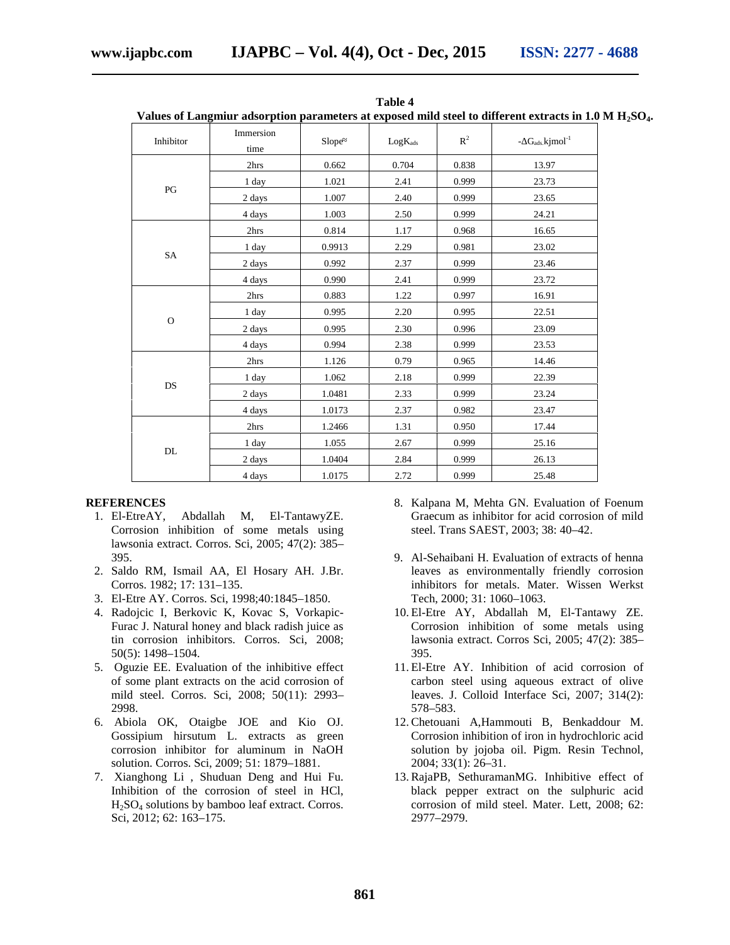|               | values of Langhilur ausorption parameters at exposed mild steel to unferent extracts in 1.0 iv. |        |              |       |                                 |
|---------------|-------------------------------------------------------------------------------------------------|--------|--------------|-------|---------------------------------|
| Inhibitor     | Immersion<br>time                                                                               | Slope  | $LogK_{ads}$ | $R^2$ | - $G_{ads}$ kjmol <sup>-1</sup> |
| PG            | 2hrs                                                                                            | 0.662  | 0.704        | 0.838 | 13.97                           |
|               | 1 day                                                                                           | 1.021  | 2.41         | 0.999 | 23.73                           |
|               | 2 days                                                                                          | 1.007  | 2.40         | 0.999 | 23.65                           |
|               | 4 days                                                                                          | 1.003  | 2.50         | 0.999 | 24.21                           |
|               | 2hrs                                                                                            | 0.814  | 1.17         | 0.968 | 16.65                           |
|               | 1 day                                                                                           | 0.9913 | 2.29         | 0.981 | 23.02                           |
| SA            | 2 days                                                                                          | 0.992  | 2.37         | 0.999 | 23.46                           |
|               | 4 days                                                                                          | 0.990  | 2.41         | 0.999 | 23.72                           |
|               | 2hrs                                                                                            | 0.883  | 1.22         | 0.997 | 16.91                           |
|               | 1 day                                                                                           | 0.995  | 2.20         | 0.995 | 22.51                           |
| $\mathbf{O}$  | 2 days                                                                                          | 0.995  | 2.30         | 0.996 | 23.09                           |
|               | 4 days                                                                                          | 0.994  | 2.38         | 0.999 | 23.53                           |
|               | 2hrs                                                                                            | 1.126  | 0.79         | 0.965 | 14.46                           |
|               | 1 day                                                                                           | 1.062  | 2.18         | 0.999 | 22.39                           |
| <b>DS</b>     | 2 days                                                                                          | 1.0481 | 2.33         | 0.999 | 23.24                           |
|               | 4 days                                                                                          | 1.0173 | 2.37         | 0.982 | 23.47                           |
| $\mathbf{DL}$ | 2hrs                                                                                            | 1.2466 | 1.31         | 0.950 | 17.44                           |
|               | 1 day                                                                                           | 1.055  | 2.67         | 0.999 | 25.16                           |
|               | 2 days                                                                                          | 1.0404 | 2.84         | 0.999 | 26.13                           |
|               | 4 days                                                                                          | 1.0175 | 2.72         | 0.999 | 25.48                           |

**Table 4 Values of Langmiur adsorption parameters at exposed mild steel to different extracts in 1.0 M H2SO4.**

#### **REFERENCES**

- 1. El-EtreAY, Abdallah M, El-TantawyZE. Corrosion inhibition of some metals using lawsonia extract. Corros. Sci, 2005; 47(2): 385– 395.
- 2. Saldo RM, Ismail AA, El Hosary AH. J.Br. Corros. 1982; 17: 131–135.
- 3. El-Etre AY. Corros. Sci, 1998;40:1845–1850.
- 4. Radojcic I, Berkovic K, Kovac S, Vorkapic- Furac J. Natural honey and black radish juice as tin corrosion inhibitors. Corros. Sci, 2008; 50(5): 1498–1504.
- 5. Oguzie EE. Evaluation of the inhibitive effect of some plant extracts on the acid corrosion of mild steel. Corros. Sci, 2008; 50(11): 2993– 2998.
- 6. Abiola OK, Otaigbe JOE and Kio OJ. Gossipium hirsutum L. extracts as green corrosion inhibitor for aluminum in NaOH solution. Corros. Sci, 2009; 51: 1879–1881.
- 7. Xianghong Li , Shuduan Deng and Hui Fu. Inhibition of the corrosion of steel in HCl, H2SO<sup>4</sup> solutions by bamboo leaf extract. Corros. Sci, 2012; 62: 163–175.
- 8. Kalpana M, Mehta GN. Evaluation of Foenum Graecum as inhibitor for acid corrosion of mild steel. Trans SAEST, 2003; 38: 40–42.
- 9. Al-Sehaibani H. Evaluation of extracts of henna leaves as environmentally friendly corrosion inhibitors for metals. Mater. Wissen Werkst Tech, 2000; 31: 1060–1063.
- 10. El-Etre AY, Abdallah M, El-Tantawy ZE. Corrosion inhibition of some metals using lawsonia extract. Corros Sci, 2005; 47(2): 385– 395.
- 11. El-Etre AY. Inhibition of acid corrosion of carbon steel using aqueous extract of olive leaves. J. Colloid Interface Sci, 2007; 314(2): 578–583.
- 12. Chetouani A,Hammouti B, Benkaddour M. Corrosion inhibition of iron in hydrochloric acid solution by jojoba oil. Pigm. Resin Technol, 2004; 33(1): 26–31.
- 13. RajaPB, SethuramanMG. Inhibitive effect of black pepper extract on the sulphuric acid corrosion of mild steel. Mater. Lett, 2008; 62: 2977–2979.